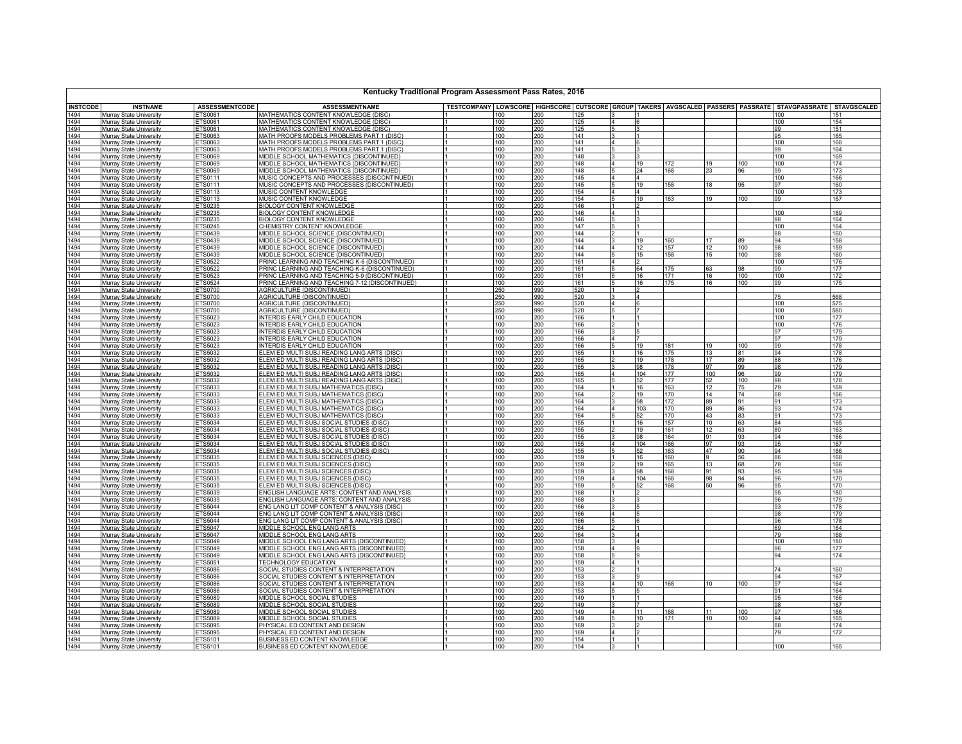| Kentucky Traditional Program Assessment Pass Rates, 2016 |                                                           |                           |                                                                                            |            |            |                               |                                  |                         |                 |            |                 |                                                                                                           |
|----------------------------------------------------------|-----------------------------------------------------------|---------------------------|--------------------------------------------------------------------------------------------|------------|------------|-------------------------------|----------------------------------|-------------------------|-----------------|------------|-----------------|-----------------------------------------------------------------------------------------------------------|
| <b>INSTCODE</b>                                          | <b>INSTNAME</b>                                           | <b>ASSESSMENTCODE</b>     | <b>ASSESSMENTNAME</b>                                                                      |            |            |                               |                                  |                         |                 |            |                 | TESTCOMPANY LOWSCORE HIGHSCORE CUTSCORE GROUP TAKERS AVGSCALED PASSERS PASSRATE STAVGPASSRATE STAVGSCALED |
| 1494                                                     | Murray State University                                   | <b>TS0061</b>             | MATHEMATICS CONTENT KNOWLEDGE (DISC                                                        | 100        | 200        | 125                           |                                  |                         |                 |            | 10 <sup>c</sup> |                                                                                                           |
| 1494                                                     | Murray State University                                   | ETS0061                   | MATHEMATICS CONTENT KNOWLEDGE (DISC)                                                       | 100        | 200        | 125                           |                                  |                         |                 |            | 100             | 154                                                                                                       |
| 1494                                                     | Murray State University                                   | ETS0061                   | MATHEMATICS CONTENT KNOWLEDGE (DISC)                                                       | 100        | 200        | 125                           |                                  |                         |                 |            | 99              | 151                                                                                                       |
| 1494<br>1494                                             | Murray State University<br>Murray State University        | ETS0063<br>ETS0063        | MATH PROOFS MODELS PROBLEMS PART 1 (DISC<br>MATH PROOFS MODELS PROBLEMS PART 1 (DISC)      | 100<br>100 | 200<br>200 | 141<br>141                    | 14<br>6                          |                         |                 |            | 95<br>100       | 165<br>168                                                                                                |
| 1494                                                     | <b>Murray State University</b>                            | ETS0063                   | MATH PROOFS MODELS PROBLEMS PART 1 (DISC)                                                  | 100        | 200        | 141                           | 13                               |                         |                 |            | 99              | 164                                                                                                       |
| 1494                                                     | Murray State University                                   | ETS0069                   | MIDDLE SCHOOL MATHEMATICS (DISCONTINUED)                                                   | 100        | 200        | 148                           |                                  |                         |                 |            | 100             | 169                                                                                                       |
| 1494                                                     | Murray State University                                   | ETS0069                   | MIDDLE SCHOOL MATHEMATICS (DISCONTINUED)                                                   | 100        | 200        | 148                           | 19                               | 172                     | 19              | 100        | 100             | 174                                                                                                       |
| 1494                                                     | <b>Murray State University</b>                            | ETS0069                   | MIDDLE SCHOOL MATHEMATICS (DISCONTINUED)                                                   | 100        | 200        | 148                           |                                  | 24<br>168               | 23              | 96         | 99              | 173                                                                                                       |
| 1494                                                     | <b>Murray State University</b>                            | ETS0111                   | MUSIC CONCEPTS AND PROCESSES (DISCONTINUED)                                                | 100        | 200        | 145                           | $\overline{a}$                   |                         |                 |            | 100             | 166                                                                                                       |
| 1494<br>1494                                             | Murray State University                                   | ETS0111<br>ETS0113        | MUSIC CONCEPTS AND PROCESSES (DISCONTINUED)<br>MUSIC CONTENT KNOWLEDGE                     | 100<br>100 | 200<br>200 | 145<br>154                    | $\overline{4}$<br>$\overline{4}$ | 19<br>158               | 18              | 95         | 97<br>100       | 160<br>173                                                                                                |
| 1494                                                     | Murray State University<br>Murray State University        | ETS0113                   | MUSIC CONTENT KNOWLEDGE                                                                    | 100        | 200        | 154                           | 15                               | 19<br>163               | 19              | 100        | 99              | 167                                                                                                       |
| 1494                                                     | Murray State University                                   | ETS0235                   | <b>BIOLOGY CONTENT KNOWLEDGE</b>                                                           | 100        | 200        | 146                           |                                  |                         |                 |            |                 |                                                                                                           |
| 1494                                                     | Murray State University                                   | ETS0235                   | <b>BIOLOGY CONTENT KNOWLEDGE</b>                                                           | 100        | 200        | 146                           |                                  |                         |                 |            | 100             | 169                                                                                                       |
| 1494                                                     | Murray State University                                   | ETS0235                   | <b>BIOLOGY CONTENT KNOWLEDGE</b>                                                           | 100        | 200        | 146                           |                                  |                         |                 |            | 98              | 164                                                                                                       |
| 1494                                                     | Murray State University                                   | ETS0245                   | CHEMISTRY CONTENT KNOWLEDGE                                                                | 100        | 200        | 147                           |                                  |                         |                 |            | 100             | 164                                                                                                       |
| 1494                                                     | <b>Murray State University</b>                            | ETS0439                   | MIDDLE SCHOOL SCIENCE (DISCONTINUED)                                                       | 100        | 200        | 144                           |                                  |                         |                 |            | 88              | 160                                                                                                       |
| 1494                                                     | Murray State University                                   | ETS0439                   | MIDDLE SCHOOL SCIENCE (DISCONTINUED)                                                       | 100        | 200        | 144                           | ıз                               | 19<br>160               | 17              | 89         | 94              | 158                                                                                                       |
| 1494<br>1494                                             | Murray State University<br>Murray State University        | ETS0439<br>ETS0439        | MIDDLE SCHOOL SCIENCE (DISCONTINUED)<br>MIDDLE SCHOOL SCIENCE (DISCONTINUED)               | 100<br>100 | 200        | 144<br>$\vert 4$<br>144<br>15 | 12                               | 157<br>158<br>15        | 12<br>15        | 100<br>100 | 98<br>98        | 159<br>160                                                                                                |
| 1494                                                     | Murray State University                                   | ETS0522                   | PRINC LEARNING AND TEACHING K-6 (DISCONTINUED)                                             | 100        | 200<br>200 | 161                           |                                  |                         |                 |            | 100             | 176                                                                                                       |
| 1494                                                     | Murray State University                                   | ETS0522                   | PRINC LEARNING AND TEACHING K-6 (DISCONTINUED)                                             | 100        | 200        | 161<br>15                     | 64                               | 175                     | 63              | 98         | 99              | 177                                                                                                       |
| 1494                                                     | <b>Murray State University</b>                            | ETS0523                   | PRINC LEARNING AND TEACHING 5-9 (DISCONTINUED)                                             | 100        | 200        | 161                           |                                  | 16<br>171               | 16              | 100        | 100             | 172                                                                                                       |
| 1494                                                     | Murray State University                                   | ETS0524                   | PRINC LEARNING AND TEACHING 7-12 (DISCONTINUED)                                            | 100        | 200        | 161                           |                                  | 16<br>175               | 16              | 100        | 99              | 175                                                                                                       |
| 1494                                                     | Murray State University                                   | ETS0700                   | AGRICULTURE (DISCONTINUED)                                                                 | 250        | 990        | 520                           | $\mathsf{I}$<br>$\overline{2}$   |                         |                 |            |                 |                                                                                                           |
| 1494<br>1494                                             | Murray State University<br>Murray State University        | ETS0700<br>ETS0700        | AGRICULTURE (DISCONTINUED)<br>AGRICULTURE (DISCONTINUED)                                   | 250<br>250 | 990<br>990 | 520<br>13<br>520              | 4                                |                         |                 |            | 75<br>100       | 568<br>575                                                                                                |
| 1494                                                     | Murray State University                                   | ETS0700                   | AGRICULTURE (DISCONTINUED)                                                                 | 250        | 990        | 520                           |                                  |                         |                 |            | 100             | 580                                                                                                       |
| 1494                                                     | Murray State University                                   | ETS5023                   | INTERDIS EARLY CHILD EDUCATION                                                             | 100        | 200        | 166<br>$\mathsf{I}$           |                                  |                         |                 |            | 100             | 177                                                                                                       |
| 1494                                                     | <b>Murray State University</b>                            | ETS5023                   | INTERDIS EARLY CHILD EDUCATION                                                             | 100        | 200        | 166                           |                                  |                         |                 |            | 100             | 176                                                                                                       |
| 1494                                                     | Murray State University                                   | ETS5023                   | INTERDIS EARLY CHILD EDUCATION                                                             | 100        | 200        | 166                           | 5                                |                         |                 |            | 97              | 179                                                                                                       |
| 1494                                                     | Murray State University                                   | ETS5023                   | INTERDIS EARLY CHILD EDUCATION                                                             | 100        | 200        | 166                           | 14<br>7                          |                         |                 |            | 97              | 179                                                                                                       |
| 1494                                                     | Murray State University                                   | ETS5023                   | INTERDIS EARLY CHILD EDUCATION                                                             | 100        | 200        | 166                           | 19                               | 181                     | 19              | 100        | 99              | 178                                                                                                       |
| 1494<br>1494                                             | Murray State University<br>Murray State University        | ETS5032<br>ETS5032        | ELEM ED MULTI SUBJ READING LANG ARTS (DISC)<br>ELEM ED MULTI SUBJ READING LANG ARTS (DISC) | 100<br>100 | 200<br>200 | 165<br>165                    | 19                               | 175<br>16<br>178        | 13<br>17        | 81<br>89   | 94<br>88        | 178<br>176                                                                                                |
| 1494                                                     | Murray State University                                   | ETS5032                   | ELEM ED MULTI SUBJ READING LANG ARTS (DISC)                                                | 100        | 200        | 165<br>l٩                     | 98                               | 178                     | 97              | 99         | 98              | 179                                                                                                       |
| 1494                                                     | Murray State University                                   | ETS5032                   | ELEM ED MULTI SUBJ READING LANG ARTS (DISC)                                                | 100        | 200        | 165                           | l4                               | 104<br>177              | 100             | 96         | 99              | 179                                                                                                       |
| 1494                                                     | Murray State University                                   | ETS5032                   | ELEM ED MULTI SUBJ READING LANG ARTS (DISC)                                                | 100        | 200        | 165                           |                                  | 52<br>177               | 52              | 100        | 98              | 178                                                                                                       |
| 1494                                                     | Murray State University                                   | ETS5033                   | ELEM ED MULTI SUBJ MATHEMATICS (DISC)                                                      | 100        | 200        | 164                           | $\mathsf{I}$                     | 16<br>163               | 12              | 75         | 79              | 169                                                                                                       |
| 1494                                                     | <b>Murray State University</b>                            | ETS5033                   | ELEM ED MULTI SUBJ MATHEMATICS (DISC)                                                      | 100        | 200        | 164                           |                                  | 19<br>170               | 14              | 74         | 68              | 166                                                                                                       |
| 1494<br>1494                                             | <b>Murray State University</b><br>Murray State University | ETS5033<br>ETS5033        | ELEM ED MULTI SUBJ MATHEMATICS (DISC)<br>ELEM ED MULTI SUBJ MATHEMATICS (DISC)             | 100<br>100 | 200<br>200 | 164<br>164                    | 14                               | 98<br>172<br>103<br>170 | 89<br>89        | 91<br>86   | 91<br>93        | 173<br>174                                                                                                |
| 1494                                                     | Murray State University                                   | ETS5033                   | ELEM ED MULTI SUBJ MATHEMATICS (DISC)                                                      | 100        | 200        | 164<br>15                     |                                  | 52<br>170               | 43              | 83         | 91              | 173                                                                                                       |
| 1494                                                     | Murray State University                                   | ETS5034                   | ELEM ED MULTI SUBJ SOCIAL STUDIES (DISC)                                                   | 100        | 200        | 155                           |                                  | 157<br>16               | 10              | 63         | 84              | 165                                                                                                       |
| 1494                                                     | Murray State University                                   | ETS5034                   | ELEM ED MULTI SUBJ SOCIAL STUDIES (DISC)                                                   | 100        | 200        | 155                           | 12                               | 19<br>161               | 12              | 63         | 80              | 163                                                                                                       |
| 1494                                                     | Murray State University                                   | ETS5034                   | ELEM ED MULTI SUBJ SOCIAL STUDIES (DISC)                                                   | 100        | 200        | 155                           | ıз                               | 98<br>164               | 91              | 93         | 94              | 166                                                                                                       |
| 1494                                                     | Murray State University                                   | ETS5034                   | ELEM ED MULTI SUBJ SOCIAL STUDIES (DISC)                                                   | 100        | 200        | 155<br>14                     |                                  | 166<br>104              | 97              | 93         | 95              | 167                                                                                                       |
| 1494<br>1494                                             | Murray State University<br>Murray State University        | ETS5034<br>ETS5035        | ELEM ED MULTI SUBJ SOCIAL STUDIES (DISC)<br>ELEM ED MULTI SUBJ SCIENCES (DISC)             | 100<br>100 | 200<br>200 | 155<br>159                    |                                  | 163<br>52<br>16<br>160  | 47              | 90<br>56   | 94<br>86        | 166<br>168                                                                                                |
| 1494                                                     | Murray State University                                   | ETS5035                   | ELEM ED MULTI SUBJ SCIENCES (DISC)                                                         | 100        | 200        | 159                           | $\overline{19}$                  | 165                     | 13              | 68         | 78              | 166                                                                                                       |
| 1494                                                     | <b>Murray State University</b>                            | ETS5035                   | ELEM ED MULTI SUBJ SCIENCES (DISC                                                          | 100        | 200        | 159                           |                                  | 98<br>168               | 91              | 93         | 95              | 169                                                                                                       |
| 1494                                                     | Murray State University                                   | ETS5035                   | ELEM ED MULTI SUBJ SCIENCES (DISC)                                                         | 100        | 200        | 159                           | l4                               | 104<br>168              | 98              | 94         | 96              | 170                                                                                                       |
| 1494                                                     | Murray State University                                   | ETS5035                   | ELEM ED MULTI SUBJ SCIENCES (DISC)                                                         | 100        | 200        | 159<br>15                     |                                  | 52<br>168               | 50              | 96         | 95              | 170                                                                                                       |
| 1494                                                     | <b>Murray State University</b>                            | ETS5039                   | ENGLISH LANGUAGE ARTS: CONTENT AND ANALYSIS                                                | 100        | 200        | 168<br>$\mathsf{I}$           |                                  |                         |                 |            | 95              | 180                                                                                                       |
| 1494<br>1494                                             | Murray State University                                   | ETS5039<br><b>ETS5044</b> | ENGLISH LANGUAGE ARTS: CONTENT AND ANALYSIS<br>ENG LANG LIT COMP CONTENT & ANALYSIS (DISC) | 100<br>100 | 200<br>200 | 168<br>166                    |                                  |                         |                 |            | 96              | 179<br>178                                                                                                |
| 1494                                                     | Murray State University<br>Murray State University        | <b>ETS5044</b>            | ENG LANG LIT COMP CONTENT & ANALYSIS (DISC)                                                | 100        | 200        | 166                           | 14<br>5                          |                         |                 |            | 93<br>98        | 179                                                                                                       |
| 1494                                                     | Murray State University                                   | ETS5044                   | ENG LANG LIT COMP CONTENT & ANALYSIS (DISC)                                                | 100        | 200        | 166                           |                                  |                         |                 |            | 96              | 178                                                                                                       |
| 1494                                                     | Murray State University                                   | ETS5047                   | MIDDLE SCHOOL ENG LANG ARTS                                                                | 100        | 200        | 164                           |                                  |                         |                 |            | 69              | 164                                                                                                       |
| 1494                                                     | Murray State University                                   | ETS5047                   | MIDDLE SCHOOL ENG LANG ARTS                                                                | 100        | 200        | 164                           | $\overline{a}$                   |                         |                 |            | <b>79</b>       | 168                                                                                                       |
| 1494                                                     | Murray State University                                   | ETS5049                   | MIDDLE SCHOOL ENG LANG ARTS (DISCONTINUED)                                                 | 100        | 200        | 158                           | 4                                |                         |                 |            | 100             | 180                                                                                                       |
| 1494                                                     | <b>Murray State University</b>                            | ETS5049                   | MIDDLE SCHOOL ENG LANG ARTS (DISCONTINUED)                                                 | 100        | 200        | 158                           |                                  |                         |                 |            | 96<br>94        | 177<br>174                                                                                                |
| 1494<br>1494                                             | Murray State University<br>Murray State University        | ETS5049<br>ETS5051        | MIDDLE SCHOOL ENG LANG ARTS (DISCONTINUED)<br>TECHNOLOGY EDUCATION                         | 100<br>100 | 200<br>200 | 158<br>159                    |                                  |                         |                 |            |                 |                                                                                                           |
| 1494                                                     | Murray State University                                   | <b>ETS5086</b>            | SOCIAL STUDIES CONTENT & INTERPRETATION                                                    | 100        | 200        | 153                           |                                  |                         |                 |            | 74              | 160                                                                                                       |
| 1494                                                     | Murray State University                                   | ETS5086                   | SOCIAL STUDIES CONTENT & INTERPRETATION                                                    | 100        | 200        | 153                           |                                  |                         |                 |            | 94              | 167                                                                                                       |
| 1494                                                     | Murray State University                                   | ETS5086                   | SOCIAL STUDIES CONTENT & INTERPRETATION                                                    | 100        | 200        | 153                           | 14                               | 10<br>168               | 10              | 100        | 97              | 164                                                                                                       |
| 1494                                                     | <b>Murray State University</b>                            | ETS5086                   | SOCIAL STUDIES CONTENT & INTERPRETATION                                                    | 100        | 200        | 153                           | 5                                |                         |                 |            | 191             | 164                                                                                                       |
| 1494                                                     | Murray State University                                   | ETS5089                   | MIDDLE SCHOOL SOCIAL STUDIES                                                               | 100        | 200        | 149                           |                                  |                         |                 |            | 95              | 166                                                                                                       |
| 1494                                                     | Murray State University                                   | ETS5089                   | MIDDLE SCHOOL SOCIAL STUDIES                                                               | 100<br>100 | 200        | 149<br>149                    | 11<br>14                         | 168                     | 11              |            | 98              | 167                                                                                                       |
| 1494<br>1494                                             | Murray State University<br>Murray State University        | ETS5089<br>ETS5089        | MIDDLE SCHOOL SOCIAL STUDIES<br>MIDDLE SCHOOL SOCIAL STUDIES                               | 100        | 200<br>200 | 149                           |                                  | 10<br>171               | 10 <sup>1</sup> | 100<br>100 | 97<br>94        | 166<br>165                                                                                                |
| 1494                                                     | Murray State University                                   | ETS5095                   | PHYSICAL ED CONTENT AND DESIGN                                                             | 100        | 200        | 169                           | $\overline{2}$                   |                         |                 |            | 88              | 174                                                                                                       |
| 1494                                                     | Murray State University                                   | ETS5095                   | PHYSICAL ED CONTENT AND DESIGN                                                             | 100        | 200        | 169                           | $\overline{4}$                   |                         |                 |            | 79              | 172                                                                                                       |
| 1494                                                     | Murray State University                                   | ETS5101                   | <b>BUSINESS ED CONTENT KNOWLEDGE</b>                                                       | 100        | 200        | 154                           |                                  |                         |                 |            |                 |                                                                                                           |
| 1494                                                     | Murray State University                                   | FTS5101                   | BUSINESS ED CONTENT KNOWLEDGE                                                              | 100        | 200        | 154                           |                                  |                         |                 |            | 100             | 165                                                                                                       |